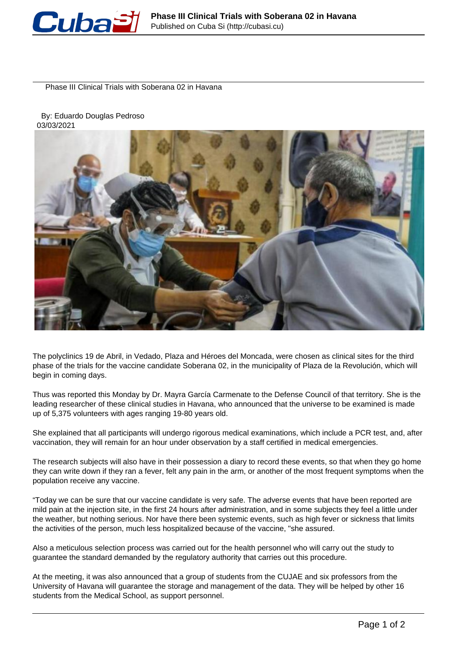

Phase III Clinical Trials with Soberana 02 in Havana

## By: Eduardo Douglas Pedroso

03/03/2021



The polyclinics 19 de Abril, in Vedado, Plaza and Héroes del Moncada, were chosen as clinical sites for the third phase of the trials for the vaccine candidate Soberana 02, in the municipality of Plaza de la Revolución, which will begin in coming days.

Thus was reported this Monday by Dr. Mayra García Carmenate to the Defense Council of that territory. She is the leading researcher of these clinical studies in Havana, who announced that the universe to be examined is made up of 5,375 volunteers with ages ranging 19-80 years old.

She explained that all participants will undergo rigorous medical examinations, which include a PCR test, and, after vaccination, they will remain for an hour under observation by a staff certified in medical emergencies.

The research subjects will also have in their possession a diary to record these events, so that when they go home they can write down if they ran a fever, felt any pain in the arm, or another of the most frequent symptoms when the population receive any vaccine.

"Today we can be sure that our vaccine candidate is very safe. The adverse events that have been reported are mild pain at the injection site, in the first 24 hours after administration, and in some subjects they feel a little under the weather, but nothing serious. Nor have there been systemic events, such as high fever or sickness that limits the activities of the person, much less hospitalized because of the vaccine, "she assured.

Also a meticulous selection process was carried out for the health personnel who will carry out the study to guarantee the standard demanded by the regulatory authority that carries out this procedure.

At the meeting, it was also announced that a group of students from the CUJAE and six professors from the University of Havana will guarantee the storage and management of the data. They will be helped by other 16 students from the Medical School, as support personnel.